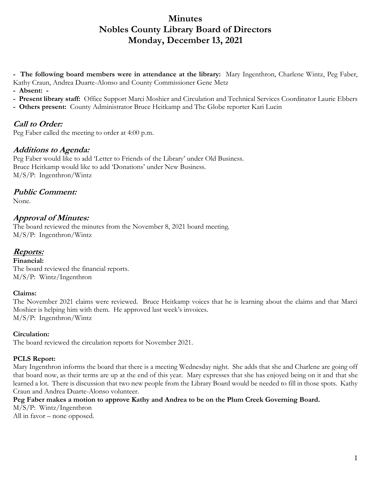# **Minutes Nobles County Library Board of Directors Monday, December 13, 2021**

**- The following board members were in attendance at the library:** Mary Ingenthron, Charlene Wintz, Peg Faber, Kathy Craun, Andrea Duarte-Alonso and County Commissioner Gene Metz

- **Absent: -**
- **Present library staff:** Office Support Marci Moshier and Circulation and Technical Services Coordinator Laurie Ebbers
- **Others present:** County Administrator Bruce Heitkamp and The Globe reporter Kari Lucin

## **Call to Order:**

Peg Faber called the meeting to order at 4:00 p.m.

## **Additions to Agenda:**

Peg Faber would like to add 'Letter to Friends of the Library' under Old Business. Bruce Heitkamp would like to add 'Donations' under New Business. M/S/P: Ingenthron/Wintz

## **Public Comment:**

None.

## **Approval of Minutes:**

The board reviewed the minutes from the November 8, 2021 board meeting. M/S/P: Ingenthron/Wintz

## **Reports:**

**Financial:**  The board reviewed the financial reports. M/S/P: Wintz/Ingenthron

#### **Claims:**

The November 2021 claims were reviewed. Bruce Heitkamp voices that he is learning about the claims and that Marci Moshier is helping him with them. He approved last week's invoices. M/S/P: Ingenthron/Wintz

### **Circulation:**

The board reviewed the circulation reports for November 2021.

### **PCLS Report:**

Mary Ingenthron informs the board that there is a meeting Wednesday night. She adds that she and Charlene are going off that board now, as their terms are up at the end of this year. Mary expresses that she has enjoyed being on it and that she learned a lot. There is discussion that two new people from the Library Board would be needed to fill in those spots. Kathy Craun and Andrea Duarte-Alonso volunteer.

### **Peg Faber makes a motion to approve Kathy and Andrea to be on the Plum Creek Governing Board.**

M/S/P: Wintz/Ingenthron

All in favor – none opposed.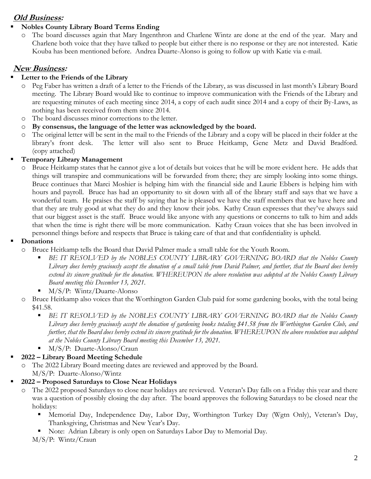## **Old Business:**

### **Nobles County Library Board Terms Ending**

o The board discusses again that Mary Ingenthron and Charlene Wintz are done at the end of the year. Mary and Charlene both voice that they have talked to people but either there is no response or they are not interested. Katie Kouba has been mentioned before. Andrea Duarte-Alonso is going to follow up with Katie via e-mail.

## **New Business:**

### **Letter to the Friends of the Library**

- o Peg Faber has written a draft of a letter to the Friends of the Library, as was discussed in last month's Library Board meeting. The Library Board would like to continue to improve communication with the Friends of the Library and are requesting minutes of each meeting since 2014, a copy of each audit since 2014 and a copy of their By-Laws, as nothing has been received from them since 2014.
- o The board discusses minor corrections to the letter.
- o **By consensus, the language of the letter was acknowledged by the board.**
- o The original letter will be sent in the mail to the Friends of the Library and a copy will be placed in their folder at the library's front desk. The letter will also sent to Bruce Heitkamp, Gene Metz and David Bradford. (copy attached)

### **Temporary Library Management**

o Bruce Heitkamp states that he cannot give a lot of details but voices that he will be more evident here. He adds that things will transpire and communications will be forwarded from there; they are simply looking into some things. Bruce continues that Marci Moshier is helping him with the financial side and Laurie Ebbers is helping him with hours and payroll. Bruce has had an opportunity to sit down with all of the library staff and says that we have a wonderful team. He praises the staff by saying that he is pleased we have the staff members that we have here and that they are truly good at what they do and they know their jobs. Kathy Craun expresses that they've always said that our biggest asset is the staff. Bruce would like anyone with any questions or concerns to talk to him and adds that when the time is right there will be more communication. Kathy Craun voices that she has been involved in personnel things before and respects that Bruce is taking care of that and that confidentiality is upheld.

### **Donations**

- o Bruce Heitkamp tells the Board that David Palmer made a small table for the Youth Room.
	- *BE IT RESOLVED by the NOBLES COUNTY LIBRARY GOVERNING BOARD that the Nobles County Library does hereby graciously accept the donation of a small table from David Palmer, and further, that the Board does hereby extend its sincere gratitude for the donation. WHEREUPON the above resolution was adopted at the Nobles County Library Board meeting this December 13, 2021.*
	- M/S/P: Wintz/Duarte-Alonso
- o Bruce Heitkamp also voices that the Worthington Garden Club paid for some gardening books, with the total being \$41.58.
	- **BE IT RESOLVED by the NOBLES COUNTY LIBRARY GOVERNING BOARD that the Nobles County** *Library does hereby graciously accept the donation of gardening books totaling \$41.58 from the Worthington Garden Club, and further, that the Board does hereby extend its sincere gratitude for the donation. WHEREUPON the above resolution was adopted at the Nobles County Library Board meeting this December 13, 2021.*
	- M/S/P: Duarte-Alonso/Craun
- **2022 – Library Board Meeting Schedule**

o The 2022 Library Board meeting dates are reviewed and approved by the Board. M/S/P: Duarte-Alonso/Wintz

- **2022 – Proposed Saturdays to Close Near Holidays**
	- The 2022 proposed Saturdays to close near holidays are reviewed. Veteran's Day falls on a Friday this year and there was a question of possibly closing the day after. The board approves the following Saturdays to be closed near the holidays:
		- Memorial Day, Independence Day, Labor Day, Worthington Turkey Day (Wgtn Only), Veteran's Day, Thanksgiving, Christmas and New Year's Day.
		- Note: Adrian Library is only open on Saturdays Labor Day to Memorial Day.
		- M/S/P: Wintz/Craun